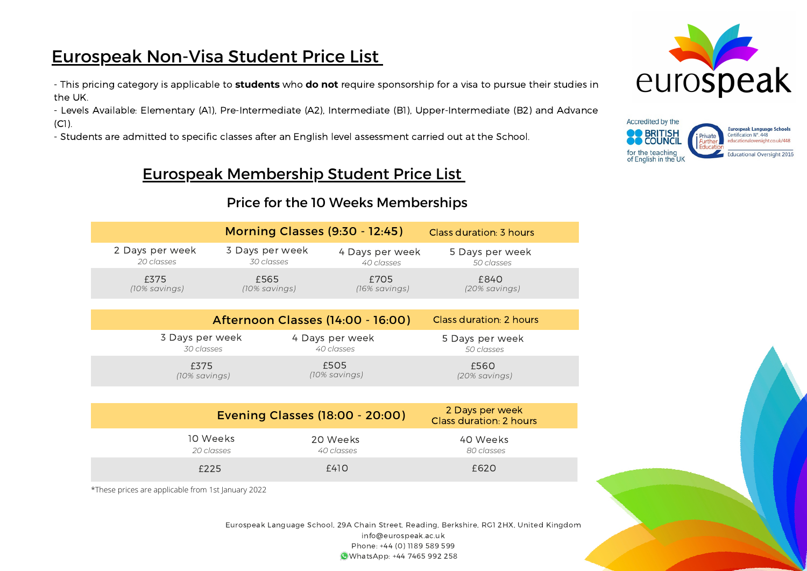# Eurospeak Non-Visa Student Price List

- This pricing category is applicable to **students** who **do not** require sponsorship for a visa to pursue their studies in the UK.

- Levels Available: Elementary (A1), Pre-Intermediate (A2), Intermediate (B1), Upper-Intermediate (B2) and Advance (C1).

- Students are admitted to specific classes after an English level assessment carried out at the School.

## Eurospeak Membership Student Price List

### Price for the 10 Weeks Memberships

| <b>Morning Classes (9:30 - 12:45)</b><br>Class duration: 3 hours |                                          |                               |                                            |  |
|------------------------------------------------------------------|------------------------------------------|-------------------------------|--------------------------------------------|--|
| 2 Days per week<br>20 classes                                    | 3 Days per week<br>30 classes            | 4 Days per week<br>40 classes | 5 Days per week<br>50 classes              |  |
| £375<br>(10% savings)                                            | £565<br>(10% savings)                    | £705<br>(16% savings)         | £840<br>(20% savings)                      |  |
|                                                                  |                                          |                               |                                            |  |
|                                                                  | <b>Afternoon Classes (14:00 - 16:00)</b> |                               | Class duration: 2 hours                    |  |
| 3 Days per week<br>30 classes                                    |                                          | 4 Days per week<br>40 classes | 5 Days per week<br>50 classes              |  |
| £375<br>(10% savings)                                            |                                          | £505<br>(10% savings)         | £560<br>(20% savings)                      |  |
|                                                                  |                                          |                               |                                            |  |
| <b>Evening Classes (18:00 - 20:00)</b>                           |                                          |                               | 2 Days per week<br>Class duration: 2 hours |  |
| 10 Weeks                                                         |                                          | 20 Weeks                      | 40 Weeks                                   |  |

*20 classes* £225 *40 classes* £410 *80 classes* £620

\*These prices are applicable from 1st January 2022

Eurospeak Language School, 29A Chain Street, Reading, Berkshire, RG1 2HX, United Kingdom info@eurospeak.ac.uk Phone: +44 (0) 1189 589 599 WhatsApp: +44 7465 992 258